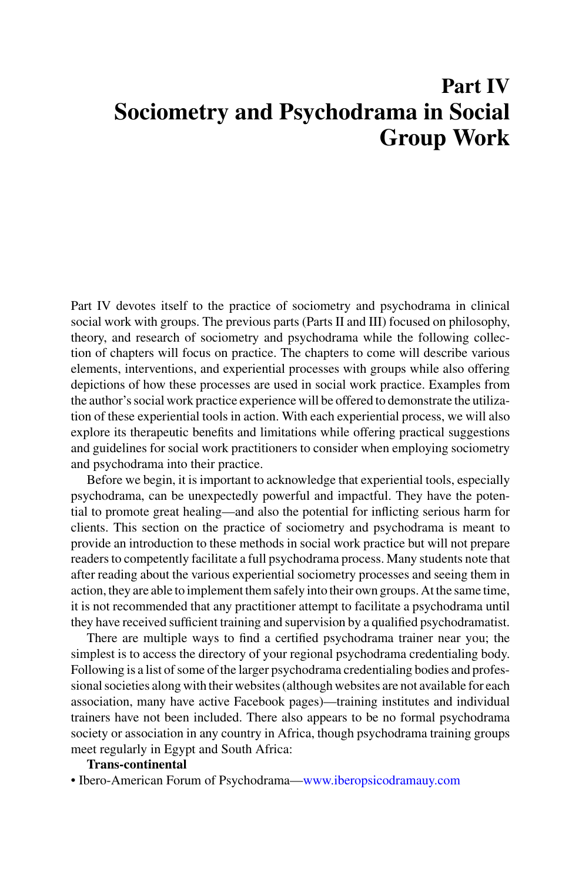# **Part IV Sociometry and Psychodrama in Social Group Work**

Part IV devotes itself to the practice of sociometry and psychodrama in clinical social work with groups. The previous parts (Parts II and III) focused on philosophy, theory, and research of sociometry and psychodrama while the following collection of chapters will focus on practice. The chapters to come will describe various elements, interventions, and experiential processes with groups while also offering depictions of how these processes are used in social work practice. Examples from the author's social work practice experience will be offered to demonstrate the utilization of these experiential tools in action. With each experiential process, we will also explore its therapeutic benefits and limitations while offering practical suggestions and guidelines for social work practitioners to consider when employing sociometry and psychodrama into their practice.

Before we begin, it is important to acknowledge that experiential tools, especially psychodrama, can be unexpectedly powerful and impactful. They have the potential to promote great healing—and also the potential for inflicting serious harm for clients. This section on the practice of sociometry and psychodrama is meant to provide an introduction to these methods in social work practice but will not prepare readers to competently facilitate a full psychodrama process. Many students note that after reading about the various experiential sociometry processes and seeing them in action, they are able to implement them safely into their own groups. At the same time, it is not recommended that any practitioner attempt to facilitate a psychodrama until they have received sufficient training and supervision by a qualified psychodramatist.

There are multiple ways to find a certified psychodrama trainer near you; the simplest is to access the directory of your regional psychodrama credentialing body. Following is a list of some of the larger psychodrama credentialing bodies and professional societies along with their websites (although websites are not available for each association, many have active Facebook pages)—training institutes and individual trainers have not been included. There also appears to be no formal psychodrama society or association in any country in Africa, though psychodrama training groups meet regularly in Egypt and South Africa:

#### **Trans-continental**

• Ibero-American Forum of Psychodrama[—www.iberopsicodramauy.com](https://www.iberopsicodramauy.com)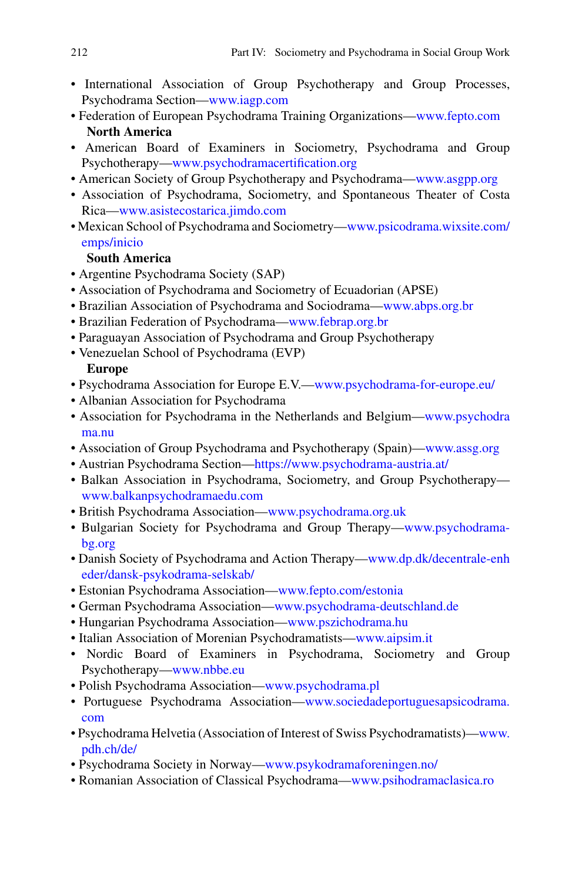- International Association of Group Psychotherapy and Group Processes, Psychodrama Section[—www.iagp.com](https://www.iagp.com)
- Federation of European Psychodrama Training Organizations[—www.fepto.com](https://www.fepto.com) **North America**
- American Board of Examiners in Sociometry, Psychodrama and Group Psychotherapy[—www.psychodramacertification.org](https://www.psychodramacertification.org)
- American Society of Group Psychotherapy and Psychodrama[—www.asgpp.org](https://www.asgpp.org)
- Association of Psychodrama, Sociometry, and Spontaneous Theater of Costa Rica[—www.asistecostarica.jimdo.com](https://www.asistecostarica.jimdo.com)
- [Mexican School of Psychodrama and Sociometry—www.psicodrama.wixsite.com/](https://www.psicodrama.wixsite.com/emps/inicio) emps/inicio

### **South America**

- Argentine Psychodrama Society (SAP)
- Association of Psychodrama and Sociometry of Ecuadorian (APSE)
- Brazilian Association of Psychodrama and Sociodrama[—www.abps.org.br](https://www.abps.org.br)
- Brazilian Federation of Psychodrama[—www.febrap.org.br](https://www.febrap.org.br)
- Paraguayan Association of Psychodrama and Group Psychotherapy
- Venezuelan School of Psychodrama (EVP)

## **Europe**

- Psychodrama Association for Europe E.V.[—www.psychodrama-for-europe.eu/](https://www.psychodrama-for-europe.eu/)
- Albanian Association for Psychodrama
- • [Association for Psychodrama in the Netherlands and Belgium—www.psychodra](https://www.psychodrama.nu) ma.nu
- Association of Group Psychodrama and Psychotherapy (Spain)[—www.assg.org](https://www.assg.org)
- Austrian Psychodrama Section[—https://www.psychodrama-austria.at/](https://www.psychodrama-austria.at/)
- Balkan Association in Psychodrama, Sociometry, and Group Psychotherapy [www.balkanpsychodramaedu.com](https://www.balkanpsychodramaedu.com)
- British Psychodrama Association[—www.psychodrama.org.uk](https://www.psychodrama.org.uk)
- • [Bulgarian Society for Psychodrama and Group Therapy—www.psychodrama](https://www.psychodrama-bg.org)bg.org
- [Danish Society of Psychodrama and Action Therapy—www.dp.dk/decentrale-enh](https://www.dp.dk/decentrale-enheder/dansk-psykodrama-selskab/) eder/dansk-psykodrama-selskab/
- Estonian Psychodrama Association[—www.fepto.com/estonia](https://www.fepto.com/estonia)
- German Psychodrama Association[—www.psychodrama-deutschland.de](https://www.psychodrama-deutschland.de)
- Hungarian Psychodrama Association[—www.pszichodrama.hu](https://www.pszichodrama.hu)
- Italian Association of Morenian Psychodramatists[—www.aipsim.it](https://www.aipsim.it)
- Nordic Board of Examiners in Psychodrama, Sociometry and Group Psychotherapy[—www.nbbe.eu](https://www.nbbe.eu)
- Polish Psychodrama Association[—www.psychodrama.pl](https://www.psychodrama.pl)
- • [Portuguese Psychodrama Association—www.sociedadeportuguesapsicodrama.](https://www.sociedadeportuguesapsicodrama.com) com
- [Psychodrama Helvetia \(Association of Interest of Swiss Psychodramatists\)—www.](https://www.pdh.ch/de/) pdh.ch/de/
- Psychodrama Society in Norway[—www.psykodramaforeningen.no/](https://www.psykodramaforeningen.no/)
- Romanian Association of Classical Psychodrama[—www.psihodramaclasica.ro](https://www.psihodramaclasica.ro)